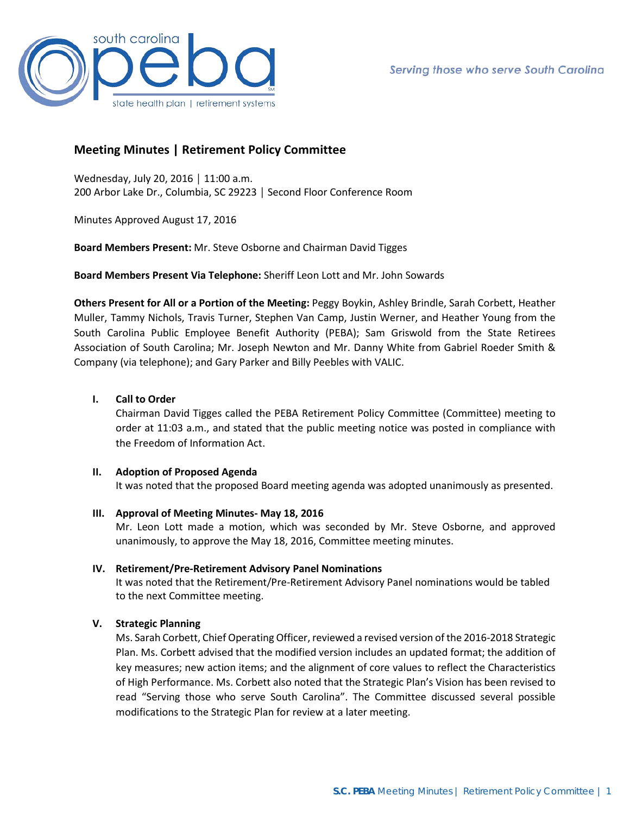

# **Meeting Minutes | Retirement Policy Committee**

Wednesday, July 20, 2016 │ 11:00 a.m. 200 Arbor Lake Dr., Columbia, SC 29223 │ Second Floor Conference Room

Minutes Approved August 17, 2016

**Board Members Present:** Mr. Steve Osborne and Chairman David Tigges

**Board Members Present Via Telephone:** Sheriff Leon Lott and Mr. John Sowards

**Others Present for All or a Portion of the Meeting:** Peggy Boykin, Ashley Brindle, Sarah Corbett, Heather Muller, Tammy Nichols, Travis Turner, Stephen Van Camp, Justin Werner, and Heather Young from the South Carolina Public Employee Benefit Authority (PEBA); Sam Griswold from the State Retirees Association of South Carolina; Mr. Joseph Newton and Mr. Danny White from Gabriel Roeder Smith & Company (via telephone); and Gary Parker and Billy Peebles with VALIC.

### **I. Call to Order**

Chairman David Tigges called the PEBA Retirement Policy Committee (Committee) meeting to order at 11:03 a.m., and stated that the public meeting notice was posted in compliance with the Freedom of Information Act.

### **II. Adoption of Proposed Agenda**

It was noted that the proposed Board meeting agenda was adopted unanimously as presented.

**III. Approval of Meeting Minutes- May 18, 2016**

Mr. Leon Lott made a motion, which was seconded by Mr. Steve Osborne, and approved unanimously, to approve the May 18, 2016, Committee meeting minutes.

### **IV. Retirement/Pre-Retirement Advisory Panel Nominations**

It was noted that the Retirement/Pre-Retirement Advisory Panel nominations would be tabled to the next Committee meeting.

# **V. Strategic Planning**

Ms. Sarah Corbett, Chief Operating Officer, reviewed a revised version of the 2016-2018 Strategic Plan. Ms. Corbett advised that the modified version includes an updated format; the addition of key measures; new action items; and the alignment of core values to reflect the Characteristics of High Performance. Ms. Corbett also noted that the Strategic Plan's Vision has been revised to read "Serving those who serve South Carolina". The Committee discussed several possible modifications to the Strategic Plan for review at a later meeting.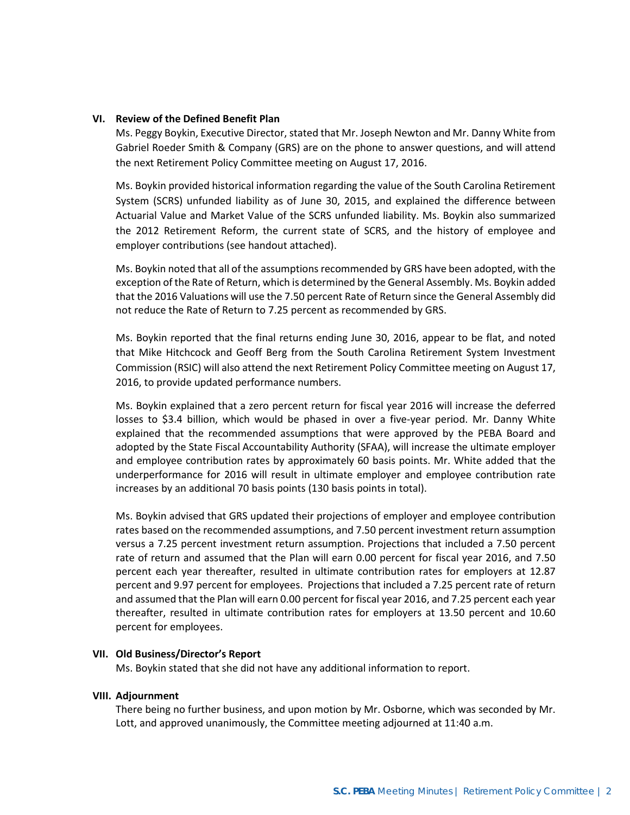### **VI. Review of the Defined Benefit Plan**

Ms. Peggy Boykin, Executive Director, stated that Mr. Joseph Newton and Mr. Danny White from Gabriel Roeder Smith & Company (GRS) are on the phone to answer questions, and will attend the next Retirement Policy Committee meeting on August 17, 2016.

Ms. Boykin provided historical information regarding the value of the South Carolina Retirement System (SCRS) unfunded liability as of June 30, 2015, and explained the difference between Actuarial Value and Market Value of the SCRS unfunded liability. Ms. Boykin also summarized the 2012 Retirement Reform, the current state of SCRS, and the history of employee and employer contributions (see handout attached).

Ms. Boykin noted that all of the assumptions recommended by GRS have been adopted, with the exception of the Rate of Return, which is determined by the General Assembly. Ms. Boykin added that the 2016 Valuations will use the 7.50 percent Rate of Return since the General Assembly did not reduce the Rate of Return to 7.25 percent as recommended by GRS.

Ms. Boykin reported that the final returns ending June 30, 2016, appear to be flat, and noted that Mike Hitchcock and Geoff Berg from the South Carolina Retirement System Investment Commission (RSIC) will also attend the next Retirement Policy Committee meeting on August 17, 2016, to provide updated performance numbers.

Ms. Boykin explained that a zero percent return for fiscal year 2016 will increase the deferred losses to \$3.4 billion, which would be phased in over a five-year period. Mr. Danny White explained that the recommended assumptions that were approved by the PEBA Board and adopted by the State Fiscal Accountability Authority (SFAA), will increase the ultimate employer and employee contribution rates by approximately 60 basis points. Mr. White added that the underperformance for 2016 will result in ultimate employer and employee contribution rate increases by an additional 70 basis points (130 basis points in total).

Ms. Boykin advised that GRS updated their projections of employer and employee contribution rates based on the recommended assumptions, and 7.50 percent investment return assumption versus a 7.25 percent investment return assumption. Projections that included a 7.50 percent rate of return and assumed that the Plan will earn 0.00 percent for fiscal year 2016, and 7.50 percent each year thereafter, resulted in ultimate contribution rates for employers at 12.87 percent and 9.97 percent for employees. Projections that included a 7.25 percent rate of return and assumed that the Plan will earn 0.00 percent for fiscal year 2016, and 7.25 percent each year thereafter, resulted in ultimate contribution rates for employers at 13.50 percent and 10.60 percent for employees.

### **VII. Old Business/Director's Report**

Ms. Boykin stated that she did not have any additional information to report.

### **VIII. Adjournment**

There being no further business, and upon motion by Mr. Osborne, which was seconded by Mr. Lott, and approved unanimously, the Committee meeting adjourned at 11:40 a.m.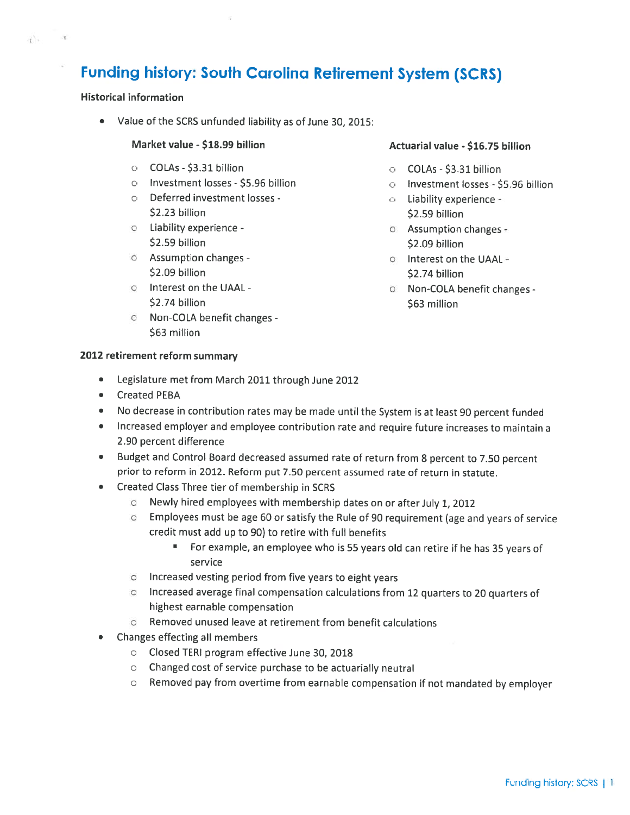# **Funding history: South Carolina Retirement System (SCRS)**

# **Historical information**

 $\mathbf{r}$   $\mathbf{r}$ 

Value of the SCRS unfunded liability as of June 30, 2015:  $\bullet$ 

### Market value - \$18.99 billion

- O COLAs \$3.31 billion
- o Investment losses \$5.96 billion
- o Deferred investment losses -\$2.23 billion
- o Liability experience -\$2.59 billion
- **b** Assumption changes -\$2.09 billion
- o Interest on the UAAL -\$2.74 billion
- o Non-COLA benefit changes -\$63 million

### Actuarial value - \$16.75 billion

- O COLAs \$3.31 billion
- o Investment losses \$5.96 billion
- o Liability experience -\$2.59 billion
- o Assumption changes \$2.09 billion
- o Interest on the UAAL -\$2.74 billion
- o Non-COLA benefit changes -\$63 million

### 2012 retirement reform summary

- Legislature met from March 2011 through June 2012  $\bullet$
- $\blacksquare$ **Created PEBA**
- No decrease in contribution rates may be made until the System is at least 90 percent funded  $\bullet$
- Increased employer and employee contribution rate and require future increases to maintain a  $\bullet$ 2.90 percent difference
- Budget and Control Board decreased assumed rate of return from 8 percent to 7.50 percent prior to reform in 2012. Reform put 7.50 percent assumed rate of return in statute.
- Created Class Three tier of membership in SCRS
	- **Theory is a line of the U.S. Theory is a line of the U.S. Property** 1, 2012
	- o Employees must be age 60 or satisfy the Rule of 90 requirement (age and years of service credit must add up to 90) to retire with full benefits
		- $\mathbf{B}$  . For example, an employee who is 55 years old can retire if he has 35 years of service
	- o Increased vesting period from five years to eight years
	- o Increased average final compensation calculations from 12 quarters to 20 quarters of highest earnable compensation
	- Removed unused leave at retirement from benefit calculations  $\circ$
- Changes effecting all members
	- O Closed TERI program effective June 30, 2018
	- Changed cost of service purchase to be actuarially neutral
	- o Removed pay from overtime from earnable compensation if not mandated by employer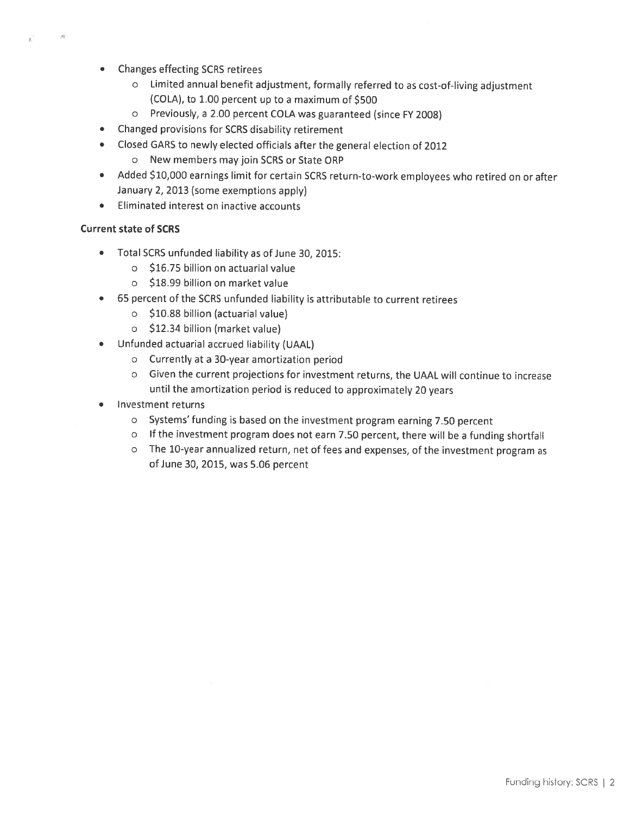- **Changes effecting SCRS retirees** 
	- o Limited annual benefit adjustment, formally referred to as cost-of-living adjustment (COLA), to 1.00 percent up to a maximum of \$500
	- o Previously, a 2.00 percent COLA was guaranteed (since FY 2008)
- Changed provisions for SCRS disability retirement  $\bullet$
- Closed GARS to newly elected officials after the general election of 2012  $\bullet$ 
	- o New members may join SCRS or State ORP
- Added \$10,000 earnings limit for certain SCRS return-to-work employees who retired on or after  $\bullet$ January 2, 2013 (some exemptions apply)
- Eliminated interest on inactive accounts  $\bullet$

# **Current state of SCRS**

 $N$ 

- $\bullet$ Total SCRS unfunded liability as of June 30, 2015:
	- o \$16.75 billion on actuarial value
	- o \$18.99 billion on market value
- 65 percent of the SCRS unfunded liability is attributable to current retirees  $\bullet$ 
	- o \$10.88 billion (actuarial value)
	- o \$12.34 billion (market value)
- Unfunded actuarial accrued liability (UAAL)  $\bullet$ 
	- o Currently at a 30-year amortization period
	- o Given the current projections for investment returns, the UAAL will continue to increase until the amortization period is reduced to approximately 20 years
- **Investment returns** 
	- o Systems' funding is based on the investment program earning 7.50 percent
	- o If the investment program does not earn 7.50 percent, there will be a funding shortfall
	- o The 10-year annualized return, net of fees and expenses, of the investment program as of June 30, 2015, was 5.06 percent